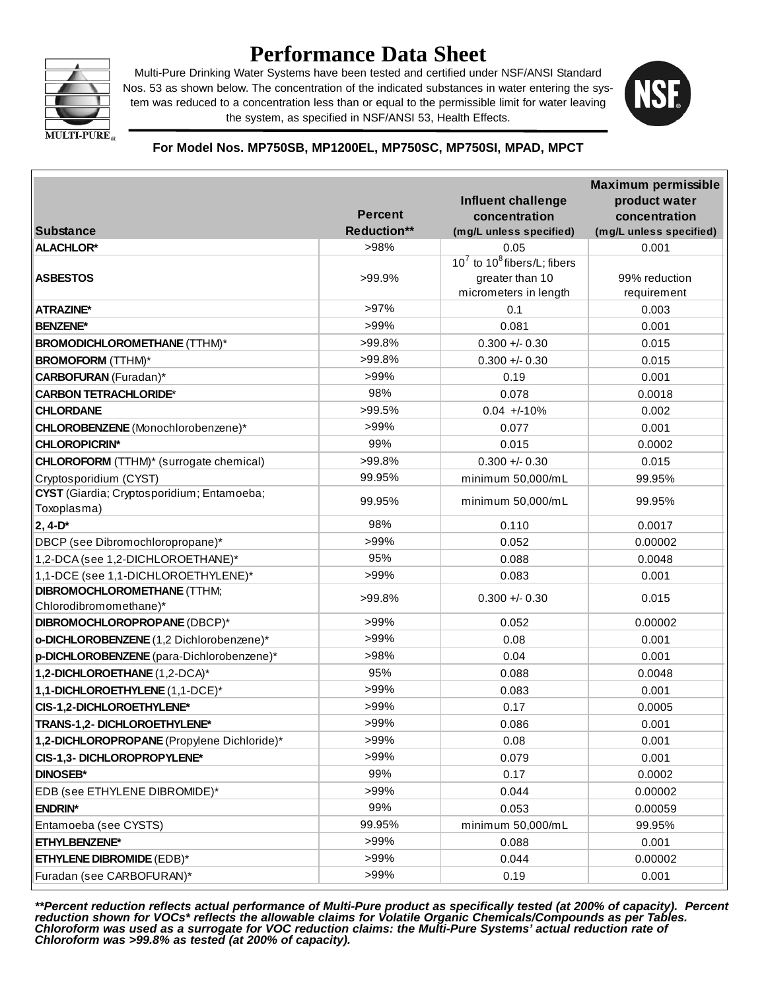

# **Performance Data Sheet**

Multi-Pure Drinking Water Systems have been tested and certified under NSF/ANSI Standard Nos. 53 as shown below. The concentration of the indicated substances in water entering the system was reduced to a concentration less than or equal to the permissible limit for water leaving the system, as specified in NSF/ANSI 53, Health Effects.



#### **For Model Nos. MP750SB, MP1200EL, MP750SC, MP750SI, MPAD, MPCT**

|                                                |                    |                                           | <b>Maximum permissible</b> |
|------------------------------------------------|--------------------|-------------------------------------------|----------------------------|
|                                                |                    | Influent challenge                        | product water              |
|                                                | <b>Percent</b>     | concentration                             | concentration              |
| <b>Substance</b>                               | <b>Reduction**</b> | (mg/L unless specified)                   | (mg/L unless specified)    |
| <b>ALACHLOR*</b>                               | >98%               | 0.05<br>$10^7$ to $10^8$ fibers/L; fibers | 0.001                      |
| <b>ASBESTOS</b>                                | >99.9%             | greater than 10                           | 99% reduction              |
|                                                |                    | micrometers in length                     | requirement                |
| <b>ATRAZINE*</b>                               | >97%               | 0.1                                       | 0.003                      |
| <b>BENZENE*</b>                                | >99%               | 0.081                                     | 0.001                      |
| <b>BROMODICHLOROMETHANE (TTHM)*</b>            | >99.8%             | $0.300 + 0.30$                            | 0.015                      |
| <b>BROMOFORM</b> (TTHM)*                       | >99.8%             | $0.300 + 0.30$                            | 0.015                      |
| <b>CARBOFURAN</b> (Furadan)*                   | >99%               | 0.19                                      | 0.001                      |
| <b>CARBON TETRACHLORIDE*</b>                   | 98%                | 0.078                                     | 0.0018                     |
| <b>CHLORDANE</b>                               | $>99.5\%$          | $0.04 +10%$                               | 0.002                      |
| CHLOROBENZENE (Monochlorobenzene)*             | >99%               | 0.077                                     | 0.001                      |
| <b>CHLOROPICRIN*</b>                           | 99%                | 0.015                                     | 0.0002                     |
| <b>CHLOROFORM</b> (TTHM)* (surrogate chemical) | >99.8%             | $0.300 + 0.30$                            | 0.015                      |
| Cryptosporidium (CYST)                         | 99.95%             | minimum 50,000/mL                         | 99.95%                     |
| CYST (Giardia; Cryptosporidium; Entamoeba;     |                    |                                           |                            |
| Toxoplasma)                                    | 99.95%             | minimum 50,000/mL                         | 99.95%                     |
| $2, 4-D^*$                                     | 98%                | 0.110                                     | 0.0017                     |
| DBCP (see Dibromochloropropane)*               | $>99\%$            | 0.052                                     | 0.00002                    |
| 1,2-DCA (see 1,2-DICHLOROETHANE)*              | 95%                | 0.088                                     | 0.0048                     |
| 1,1-DCE (see 1,1-DICHLOROETHYLENE)*            | >99%               | 0.083                                     | 0.001                      |
| <b>DIBROMOCHLOROMETHANE (TTHM;</b>             | >99.8%             | $0.300 +/- 0.30$                          | 0.015                      |
| Chlorodibromomethane)*                         |                    |                                           |                            |
| DIBROMOCHLOROPROPANE (DBCP)*                   | $>99\%$            | 0.052                                     | 0.00002                    |
| o-DICHLOROBENZENE (1,2 Dichlorobenzene)*       | >99%               | 0.08                                      | 0.001                      |
| p-DICHLOROBENZENE (para-Dichlorobenzene)*      | >98%               | 0.04                                      | 0.001                      |
| 1,2-DICHLOROETHANE (1,2-DCA)*                  | 95%                | 0.088                                     | 0.0048                     |
| 1,1-DICHLOROETHYLENE (1,1-DCE)*                | >99%               | 0.083                                     | 0.001                      |
| CIS-1,2-DICHLOROETHYLENE*                      | >99%               | 0.17                                      | 0.0005                     |
| TRANS-1,2- DICHLOROETHYLENE*                   | >99%               | 0.086                                     | 0.001                      |
| 1,2-DICHLOROPROPANE (Propylene Dichloride)*    | >99%               | 0.08                                      | 0.001                      |
| CIS-1,3- DICHLOROPROPYLENE*                    | >99%               | 0.079                                     | 0.001                      |
| <b>DINOSEB*</b>                                | 99%                | 0.17                                      | 0.0002                     |
| EDB (see ETHYLENE DIBROMIDE)*                  | >99%               | 0.044                                     | 0.00002                    |
| <b>ENDRIN*</b>                                 | 99%                | 0.053                                     | 0.00059                    |
| Entamoeba (see CYSTS)                          | 99.95%             | minimum 50,000/mL                         | 99.95%                     |
| ETHYLBENZENE*                                  | >99%               | 0.088                                     | 0.001                      |
| <b>ETHYLENE DIBROMIDE (EDB)*</b>               | >99%               | 0.044                                     | 0.00002                    |
| Furadan (see CARBOFURAN)*                      | >99%               | 0.19                                      | 0.001                      |

*\*\*Percent reduction reflects actual performance of Multi-Pure product as specifically tested (at 200% of capacity). Percent reduction shown for VOCs\* reflects the allowable claims for Volatile Organic Chemicals/Compounds as per Tables. Chloroform was used as a surrogate for VOC reduction claims: the Multi-Pure Systems' actual reduction rate of Chloroform was >99.8% as tested (at 200% of capacity).*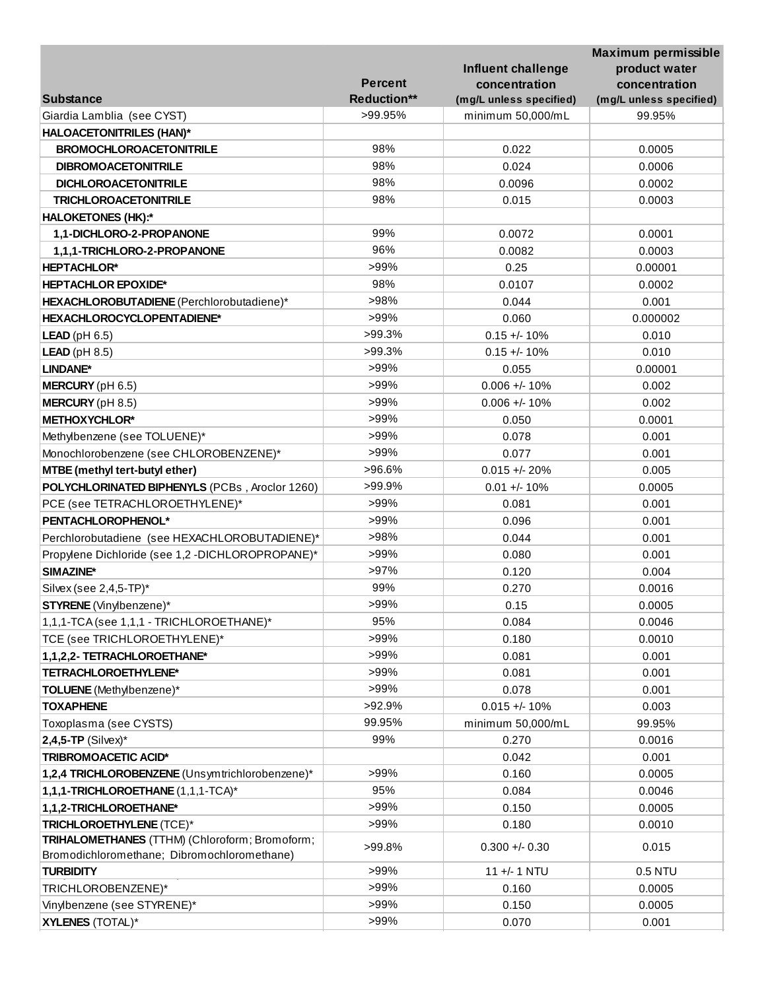|                                                  |                    |                         | <b>Maximum permissible</b> |
|--------------------------------------------------|--------------------|-------------------------|----------------------------|
|                                                  |                    | Influent challenge      | product water              |
|                                                  | <b>Percent</b>     | concentration           | concentration              |
| <b>Substance</b>                                 | <b>Reduction**</b> | (mg/L unless specified) | (mg/L unless specified)    |
| Giardia Lamblia (see CYST)                       | >99.95%            | minimum 50,000/mL       | 99.95%                     |
| <b>HALOACETONITRILES (HAN)*</b>                  |                    |                         |                            |
| <b>BROMOCHLOROACETONITRILE</b>                   | 98%                | 0.022                   | 0.0005                     |
| <b>DIBROMOACETONITRILE</b>                       | 98%                | 0.024                   | 0.0006                     |
| <b>DICHLOROACETONITRILE</b>                      | 98%                | 0.0096                  | 0.0002                     |
| <b>TRICHLOROACETONITRILE</b>                     | 98%                | 0.015                   | 0.0003                     |
| <b>HALOKETONES (HK):*</b>                        |                    |                         |                            |
| 1,1-DICHLORO-2-PROPANONE                         | 99%                | 0.0072                  | 0.0001                     |
| 1,1,1-TRICHLORO-2-PROPANONE                      | 96%                | 0.0082                  | 0.0003                     |
| <b>HEPTACHLOR*</b>                               | >99%               | 0.25                    | 0.00001                    |
| <b>HEPTACHLOR EPOXIDE*</b>                       | 98%                | 0.0107                  | 0.0002                     |
| HEXACHLOROBUTADIENE (Perchlorobutadiene)*        | >98%               | 0.044                   | 0.001                      |
| HEXACHLOROCYCLOPENTADIENE*                       | $>99\%$            | 0.060                   | 0.000002                   |
| $LEAD$ (pH 6.5)                                  | $>99.3\%$          | $0.15 +/- 10%$          | 0.010                      |
| <b>LEAD</b> ( $pH 8.5$ )                         | $>99.3\%$          | $0.15 +/- 10%$          | 0.010                      |
| LINDANE*                                         | >99%               | 0.055                   | 0.00001                    |
| <b>MERCURY</b> ( $pH$ 6.5)                       | >99%               | $0.006 +/- 10%$         | 0.002                      |
| <b>MERCURY</b> ( $pH 8.5$ )                      | >99%               | $0.006 + 10%$           | 0.002                      |
| <b>METHOXYCHLOR*</b>                             | >99%               | 0.050                   | 0.0001                     |
| Methylbenzene (see TOLUENE)*                     | >99%               | 0.078                   | 0.001                      |
| Monochlorobenzene (see CHLOROBENZENE)*           | >99%               | 0.077                   | 0.001                      |
| MTBE (methyl tert-butyl ether)                   | >96.6%             | $0.015 + - 20%$         | 0.005                      |
| POLYCHLORINATED BIPHENYLS (PCBs, Aroclor 1260)   | >99.9%             | $0.01 +/- 10%$          | 0.0005                     |
| PCE (see TETRACHLOROETHYLENE)*                   | >99%               | 0.081                   | 0.001                      |
| PENTACHLOROPHENOL*                               | >99%               | 0.096                   | 0.001                      |
| Perchlorobutadiene (see HEXACHLOROBUTADIENE)*    | >98%               | 0.044                   | 0.001                      |
| Propylene Dichloride (see 1,2 -DICHLOROPROPANE)* | >99%               | 0.080                   | 0.001                      |
| SIMAZINE*                                        | $>97\%$            | 0.120                   | 0.004                      |
| Silvex (see 2,4,5-TP)*                           | 99%                | 0.270                   | 0.0016                     |
| <b>STYRENE</b> (Vinylbenzene)*                   | >99%               | 0.15                    | 0.0005                     |
| 1,1,1-TCA (see 1,1,1 - TRICHLOROETHANE)*         | 95%                | 0.084                   | 0.0046                     |
| TCE (see TRICHLOROETHYLENE)*                     | >99%               | 0.180                   | 0.0010                     |
| 1,1,2,2- TETRACHLOROETHANE*                      | >99%               | 0.081                   | 0.001                      |
| TETRACHLOROETHYLENE*                             | >99%               | 0.081                   | 0.001                      |
| TOLUENE (Methylbenzene)*                         | >99%               | 0.078                   | 0.001                      |
| <b>TOXAPHENE</b>                                 | >92.9%             | $0.015 +/- 10%$         | 0.003                      |
| Toxoplasma (see CYSTS)                           | 99.95%             | minimum 50,000/mL       | 99.95%                     |
| $2,4,5$ -TP (Silvex)*                            | 99%                | 0.270                   | 0.0016                     |
| <b>TRIBROMOACETIC ACID*</b>                      |                    | 0.042                   | 0.001                      |
| 1,2,4 TRICHLOROBENZENE (Unsymtrichlorobenzene)*  | >99%               | 0.160                   | 0.0005                     |
| 1,1,1-TRICHLOROETHANE (1,1,1-TCA)*               | 95%                | 0.084                   | 0.0046                     |
| 1,1,2-TRICHLOROETHANE*                           | >99%               | 0.150                   | 0.0005                     |
| TRICHLOROETHYLENE (TCE)*                         | >99%               | 0.180                   | 0.0010                     |
| TRIHALOMETHANES (TTHM) (Chloroform; Bromoform;   |                    |                         |                            |
| Bromodichloromethane; Dibromochloromethane)      | >99.8%             | $0.300 +/- 0.30$        | 0.015                      |
| <b>TURBIDITY</b>                                 | >99%               | 11 +/- 1 NTU            | 0.5 NTU                    |
| TRICHLOROBENZENE)*                               | >99%               | 0.160                   | 0.0005                     |
| Vinylbenzene (see STYRENE)*                      | >99%               | 0.150                   | 0.0005                     |
| <b>XYLENES (TOTAL)*</b>                          | >99%               | 0.070                   | 0.001                      |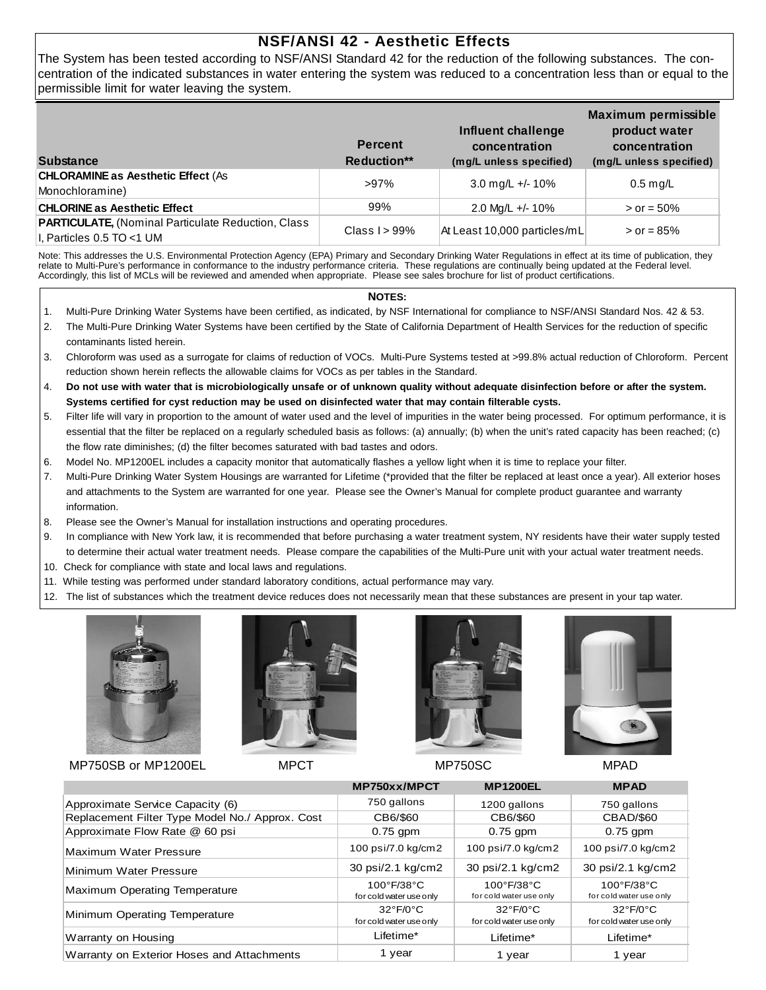## **NSF/ANSI 42 - Aesthetic Effects**

The System has been tested according to NSF/ANSI Standard 42 for the reduction of the following substances. The concentration of the indicated substances in water entering the system was reduced to a concentration less than or equal to the permissible limit for water leaving the system.

| <b>Substance</b>                                                                       | <b>Percent</b><br><b>Reduction**</b> | Influent challenge<br>concentration<br>(mg/L unless specified) | <b>Maximum permissible</b><br>product water<br>concentration<br>(mg/L unless specified) |
|----------------------------------------------------------------------------------------|--------------------------------------|----------------------------------------------------------------|-----------------------------------------------------------------------------------------|
| <b>CHLORAMINE as Aesthetic Effect (As</b><br>Monochloramine)                           | >97%                                 | 3.0 mg/L +/- 10%                                               | $0.5$ mg/L                                                                              |
| <b>CHLORINE as Aesthetic Effect</b>                                                    | 99%                                  | 2.0 Mg/L +/- 10%                                               | $>$ or = 50%                                                                            |
| <b>PARTICULATE, (Nominal Particulate Reduction, Class</b><br>I, Particles 0.5 TO <1 UM | Class $1 > 99\%$                     | At Least 10,000 particles/mL                                   | $>$ or = 85%                                                                            |

Note: This addresses the U.S. Environmental Protection Agency (EPA) Primary and Secondary Drinking Water Regulations in effect at its time of publication, they relate to Multi-Pure's performance in conformance to the industry performance criteria. These regulations are continually being updated at the Federal level. Accordingly, this list of MCLs will be reviewed and amended when appropriate. Please see sales brochure for list of product certifications.

#### **NOTES:**

- 1. Multi-Pure Drinking Water Systems have been certified, as indicated, by NSF International for compliance to NSF/ANSI Standard Nos. 42 & 53.
- 2. The Multi-Pure Drinking Water Systems have been certified by the State of California Department of Health Services for the reduction of specific contaminants listed herein.
- 3. Chloroform was used as a surrogate for claims of reduction of VOCs. Multi-Pure Systems tested at >99.8% actual reduction of Chloroform. Percent reduction shown herein reflects the allowable claims for VOCs as per tables in the Standard.
- 4. **Do not use with water that is microbiologically unsafe or of unknown quality without adequate disinfection before or after the system. Systems certified for cyst reduction may be used on disinfected water that may contain filterable cysts.**
- 5. Filter life will vary in proportion to the amount of water used and the level of impurities in the water being processed. For optimum performance, it is essential that the filter be replaced on a regularly scheduled basis as follows: (a) annually; (b) when the unit's rated capacity has been reached; (c) the flow rate diminishes; (d) the filter becomes saturated with bad tastes and odors.
- 6. Model No. MP1200EL includes a capacity monitor that automatically flashes a yellow light when it is time to replace your filter.
- 7. Multi-Pure Drinking Water System Housings are warranted for Lifetime (\*provided that the filter be replaced at least once a year). All exterior hoses and attachments to the System are warranted for one year. Please see the Owner's Manual for complete product guarantee and warranty information.
- 8. Please see the Owner's Manual for installation instructions and operating procedures.
- 9. In compliance with New York law, it is recommended that before purchasing a water treatment system, NY residents have their water supply tested to determine their actual water treatment needs. Please compare the capabilities of the Multi-Pure unit with your actual water treatment needs.
- 10. Check for compliance with state and local laws and regulations.
- 11. While testing was performed under standard laboratory conditions, actual performance may vary.
- 12. The list of substances which the treatment device reduces does not necessarily mean that these substances are present in your tap water.





MP750SB or MP1200EL MPCT MPCT MP750SC MPAD





|                                                 | MP750xx/MPCT                                               | <b>MP1200EL</b>                                            | <b>MPAD</b>                                                |
|-------------------------------------------------|------------------------------------------------------------|------------------------------------------------------------|------------------------------------------------------------|
| Approximate Service Capacity (6)                | 750 gallons                                                | 1200 gallons                                               | 750 gallons                                                |
| Replacement Filter Type Model No./ Approx. Cost | CB6/\$60                                                   | CB6/\$60                                                   | <b>CBAD/\$60</b>                                           |
| Approximate Flow Rate @ 60 psi                  | $0.75$ gpm                                                 | $0.75$ gpm                                                 | $0.75$ gpm                                                 |
| Maximum Water Pressure                          | 100 psi/7.0 kg/cm2                                         | 100 psi/7.0 kg/cm2                                         | 100 psi/7.0 kg/cm2                                         |
| Minimum Water Pressure                          | 30 psi/2.1 kg/cm2                                          | 30 psi/2.1 kg/cm2                                          | 30 psi/2.1 kg/cm2                                          |
| Maximum Operating Temperature                   | $100^{\circ}$ F/38 $^{\circ}$ C<br>for cold water use only | $100^{\circ}$ F/38 $^{\circ}$ C<br>for cold water use only | $100^{\circ}$ F/38 $^{\circ}$ C<br>for cold water use only |
| Minimum Operating Temperature                   | $32^{\circ}F/0^{\circ}C$<br>for cold water use only        | $32^{\circ}F/0^{\circ}C$<br>for cold water use only        | $32^{\circ}F/0^{\circ}C$<br>for cold water use only        |
| Warranty on Housing                             | Lifetime*                                                  | Lifetime*                                                  | Lifetime*                                                  |
| Warranty on Exterior Hoses and Attachments      | 1 year                                                     | 1 year                                                     | 1 year                                                     |